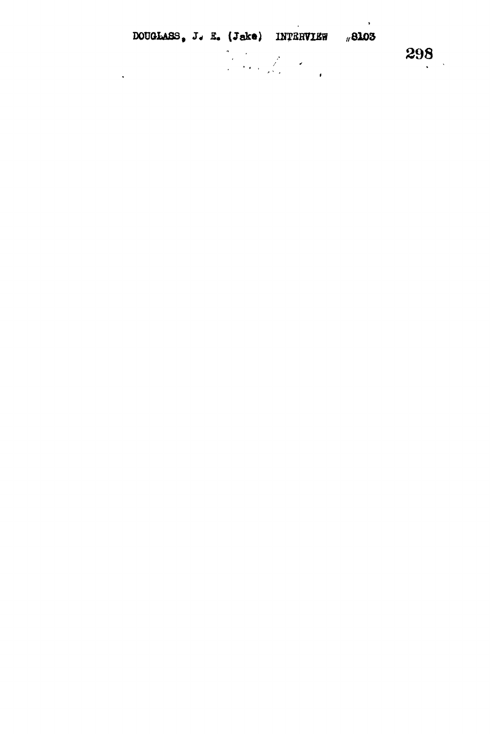|  |  | DOUGLASS, J. E. (Jake) INTERVIEW #8103                                                                                                                                                                                           |  |
|--|--|----------------------------------------------------------------------------------------------------------------------------------------------------------------------------------------------------------------------------------|--|
|  |  | and the first of the first of the first of the first of the first of the first of the first of the first of th<br>The first of the first of the first of the first of the first of the first of the first of the first of the fi |  |

 $\mathcal{L}^{\text{max}}_{\text{max}}$ 

298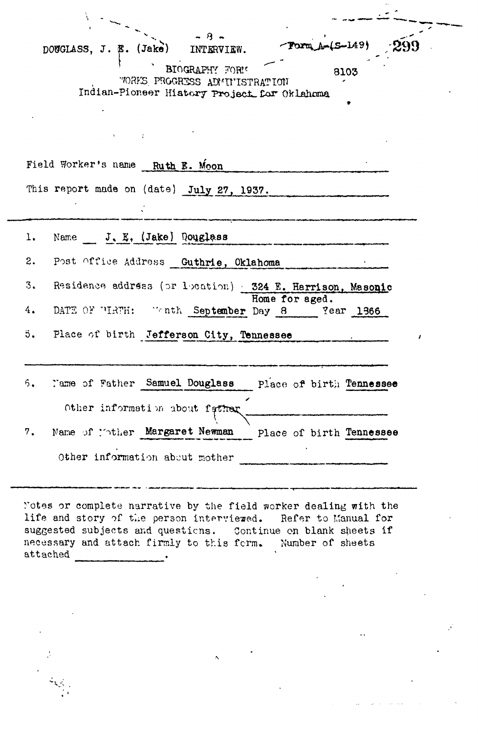$B = \frac{1}{2}$ DOUGLASS, J. B. (Jake) INTERVIEW. Torm<sub>A</sub><sup>+</sup> **BIOGRAPHY** FOR! "ORKS PROGRESS ADMITISTRATION Indian-Pioneer History Project for Oklahoma Field Worker's name **Ruth E. Moon** This report made on (date) **July 27, 1937.** 1. Name J.E, (Jake) Douglass 2. Post office Addross **Quthrie, Oklahoma** • 3. Residence address (or location) **324** E. **Harrison. Masoqlc Home for aged.** 4. DATE OF TIRTH: "onth September Day 8 ?ear 1366 5. Place of birth **Jefferson City, Tennessee** , 6. route of Father **Samuel Douglass** place *of* birtii **Tennessee** Other information about father 7. Name of lother Margaret Newman place of birth Tennessee Other information about mother

Notes or complete narrative by the field worker dealing with the life and story of the person interviewed. Refer to Manual for suggested subjects and questions. Continue on blank sheets if necessary and attach firmly to this form. Number of sheets attached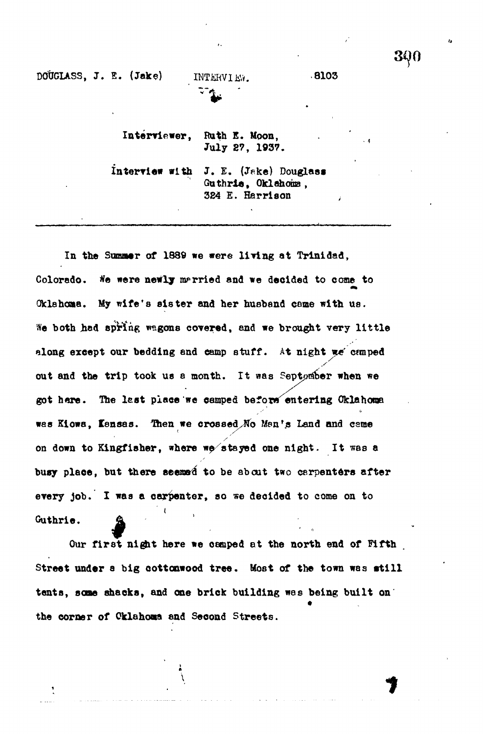**DOUGLASS, J. E. (Jake)** INTERVIEW. 8103

**Interviewer , Rath E. Moon, Jul y 27 , 1937.**

**interview with J . E. (Jeke) Douglass Guthrie , Oklahoma, 384 E. Harrison**

In the Summer of 1889 we were living at Trinidad, Colorado. We were newly married and we decided to come to **Oklahoma. My wife's sister and her husband come with us.** We both had spring wagons covered, and we brought very little along except our bedding and camp stuff. At night we camped out and the trip took us a month. It was September when we got here. The last place we camped before entering Oklahoma **was Kiowa, lensas. Then we crossed,No Men's Land and cerae** on down to Kingfisher, where we stayed one night. It was a busy place, but there seemed to be about two carpenters after every job. I was a carpenter, so we decided to come on to **every job. I was a carpenter, so we decided to come on to**

Our first night here we camped at the north end of Fifth Street under a big cottonwood tree. Most of the town was still **tents, same shacks, and one brick building was being built on the corner of Oklahoma and Second Streets.**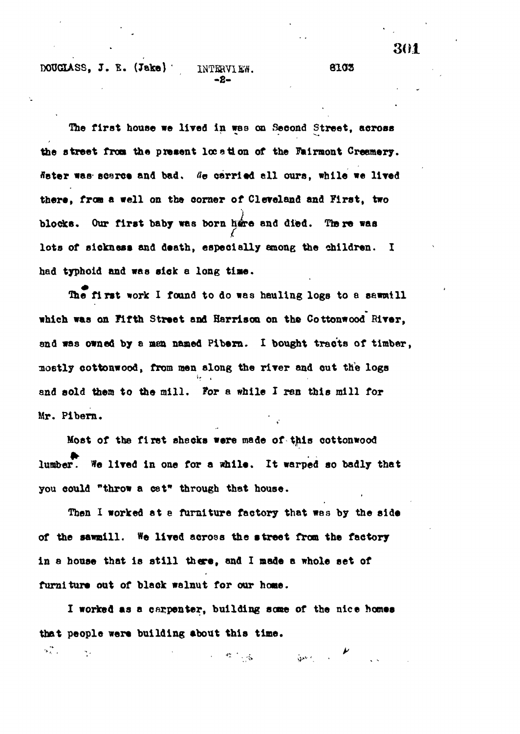**DOUQASS, J. E. (Take) ' INTERVIEW. 8103**

**The first house we lived in was on Second Street, across the street from the present location of the Fairmont Creamery, ffater was' scarce and bad\*** *tie* **carried all ours, while we lived there, froa a veil on the comer of Cleveland and First, two blocks. Our first baby was born bore and died. Ttere was lots of sickness and death, especially among the children. I had typhoid and was sick a long time.**

**Die first work I found to do was hauling logs to a sawmill which was on Fifth Street and Harrison on the Cottonwood River, and was owned by a men named Pibern. I bought tracts of timber, mo6tly cottonwood, from men along the river and out the logs and sold them to the mill. For a while I ren this mill for Mr. Pibern.**

**Host of the first shacks were made of this cottonwood lumber. We lived in one for a while. It warped so badly that you could "throw a cat" through that house.**

**Then X worked at e furniture factory that was by the side of the sawmill. We lived across the street from the factory** in a house that is still there, and I made a whole set of furniture out of black walnut for our home.

**I worked as a carpenter, building scans of the nice homes that people were building about this time.** *< •* **v • - • • \***

**- 2 -**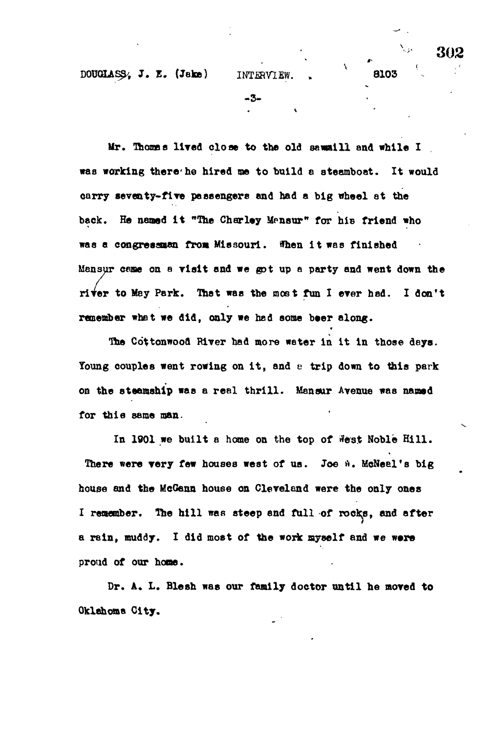**DOUGLAS^,** *J.* **E. (Jake) INTERVIEW. » 8103**

١

**- 3 -**

**Mr. Thoses lived clos e to the old sawmill and while I was working there-he hired me t o build a steamboat. It would carry seventy-five passengers and had a big wheel at the** back. He named it "The Charley Mansur" for his friend who **was a congressmen from Missouri. When i t was finished**

**Mansur came on a visit and we got up a party and went down the river to May Park. That was the roost fun I ever had. I don't remember whet we did, only we had some beer along.**

**The Co'ttonwooa River had more water in it in those days.** Young couples went rowing on it, and a trip down to this park **on the steamship was a real thrill . Mansur Avenue was named for this seme man.**

In 1901 we built a home on the top of West Noble Hill. There were very few houses west of us. Joe a. McNeel's big **house and the McGenn house on Cleveland were the only ones** I remember. The hill was steep and full of rocks, and after **a rain, muddy. I did most of the work myself and we were proud of our hone.**

**Dr. A. L. Blesh was our family doctor until he moved to Oklahoma City.**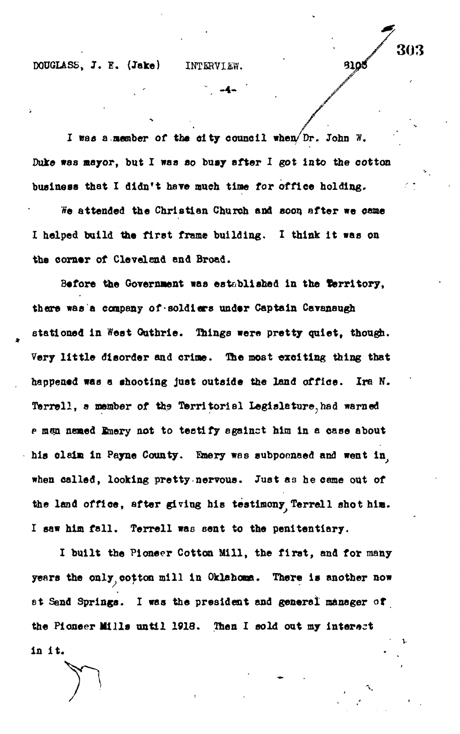**DOUGLASS, J. E. (Jake) INTERVIEW.** 

**- 4 -**

303

**3105** 

**I »aa a.member of the city council when/Dr. John w. Duke was mayor, but I waa BO busy after I got Into the cotton** business that I didn't have much time for office holding.

**We attended the Christian Church and soon after we came I helped build the first frame building. I think it was on the corner of Cleveland and Broad.**

**Before the Government was established in the territory, there was a company of-soldiers under Captain Cavanaugh stationed in West Outhrie. Things were pretty quiet, though.** Very little disorder and crime. The most exciting thing that **happened was a shooting just outside the land office. Irs N. Terrell, a member of the Territorial Iegialature?had warned p man named finery not to testify against him in a case about his claim in Payne County. Emery was subpoenaed and went in,** when called, looking pretty-nervous. Just as he came out of **the land office, after giving bis testimony Terrell shot him. I saw him fall. Terrell was sent to the penitentiary.**

**I built the Pioneer Cotton Mill, the firat, and for many years the only cotton mill in Oklahoma. There is another now et Sand Springe. I was the president and general manager of the Pioneer Mills until 1918. Then I sold out my Interact in it.**